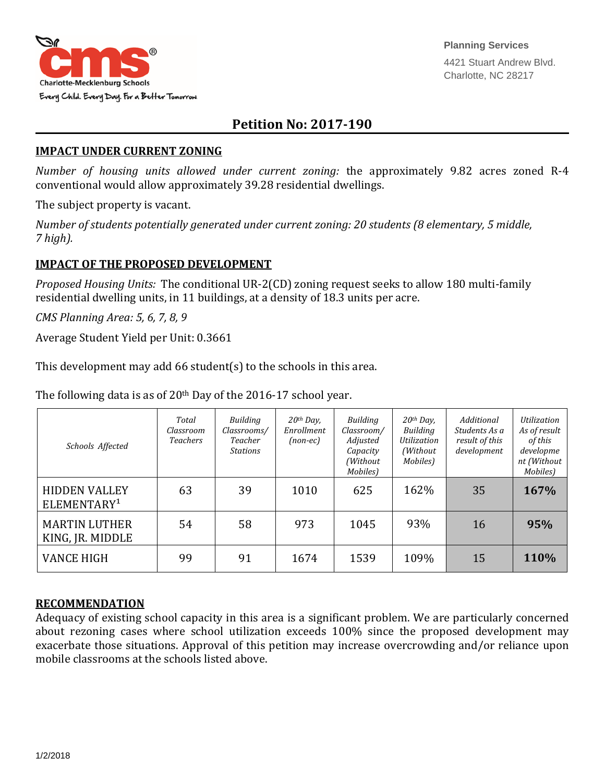

## **Petition No: 2017-190**

## **IMPACT UNDER CURRENT ZONING**

*Number of housing units allowed under current zoning:* the approximately 9.82 acres zoned R-4 conventional would allow approximately 39.28 residential dwellings.

The subject property is vacant.

*Number of students potentially generated under current zoning: 20 students (8 elementary, 5 middle, 7 high).*

## **IMPACT OF THE PROPOSED DEVELOPMENT**

*Proposed Housing Units:* The conditional UR-2(CD) zoning request seeks to allow 180 multi-family residential dwelling units, in 11 buildings, at a density of 18.3 units per acre.

*CMS Planning Area: 5, 6, 7, 8, 9*

Average Student Yield per Unit: 0.3661

This development may add 66 student(s) to the schools in this area.

The following data is as of 20<sup>th</sup> Day of the 2016-17 school year.

| Schools Affected                                | Total<br>Classroom<br><b>Teachers</b> | Building<br>Classrooms/<br>Teacher<br><b>Stations</b> | $20th$ Day,<br>Enrollment<br>$(non-ec)$ | Building<br>Classroom/<br>Adjusted<br>Capacity<br>(Without<br>Mobiles) | $20th$ Day,<br><b>Building</b><br>Utilization<br>(Without<br>Mobiles) | Additional<br>Students As a<br>result of this<br>development | Utilization<br>As of result<br>of this<br>developme<br>nt (Without<br>Mobiles) |
|-------------------------------------------------|---------------------------------------|-------------------------------------------------------|-----------------------------------------|------------------------------------------------------------------------|-----------------------------------------------------------------------|--------------------------------------------------------------|--------------------------------------------------------------------------------|
| <b>HIDDEN VALLEY</b><br>ELEMENTARY <sup>1</sup> | 63                                    | 39                                                    | 1010                                    | 625                                                                    | 162%                                                                  | 35                                                           | 167%                                                                           |
| <b>MARTIN LUTHER</b><br>KING, JR. MIDDLE        | 54                                    | 58                                                    | 973                                     | 1045                                                                   | 93%                                                                   | 16                                                           | 95%                                                                            |
| <b>VANCE HIGH</b>                               | 99                                    | 91                                                    | 1674                                    | 1539                                                                   | 109%                                                                  | 15                                                           | 110%                                                                           |

## **RECOMMENDATION**

Adequacy of existing school capacity in this area is a significant problem. We are particularly concerned about rezoning cases where school utilization exceeds 100% since the proposed development may exacerbate those situations. Approval of this petition may increase overcrowding and/or reliance upon mobile classrooms at the schools listed above.